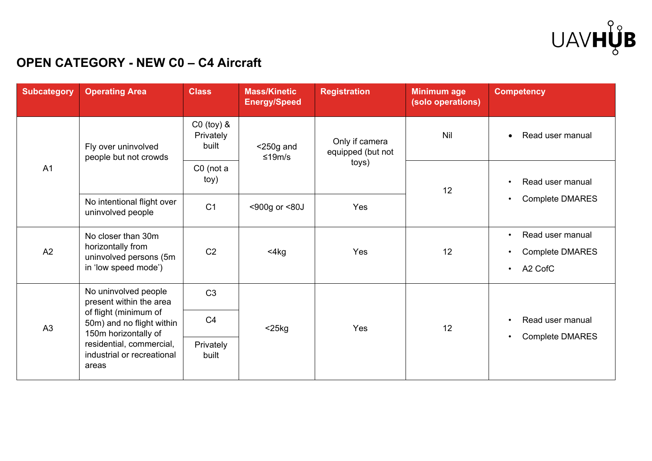

## **OPEN CATEGORY - NEW C0 – C4 Aircraft**

| <b>Subcategory</b> | <b>Operating Area</b>                                                                                                                                                                            | <b>Class</b>                         | <b>Mass/Kinetic</b><br><b>Energy/Speed</b> | <b>Registration</b>                          | <b>Minimum age</b><br>(solo operations) | <b>Competency</b>                                                                            |
|--------------------|--------------------------------------------------------------------------------------------------------------------------------------------------------------------------------------------------|--------------------------------------|--------------------------------------------|----------------------------------------------|-----------------------------------------|----------------------------------------------------------------------------------------------|
| A <sub>1</sub>     | Fly over uninvolved<br>people but not crowds                                                                                                                                                     | $CO$ (toy) $&$<br>Privately<br>built | $<$ 250g and<br>≤19m/s                     | Only if camera<br>equipped (but not<br>toys) | Nil                                     | Read user manual<br>$\bullet$                                                                |
|                    |                                                                                                                                                                                                  | $CO$ (not a<br>toy)                  |                                            |                                              | 12                                      | Read user manual<br>$\bullet$<br><b>Complete DMARES</b><br>$\bullet$                         |
|                    | No intentional flight over<br>uninvolved people                                                                                                                                                  | C <sub>1</sub>                       | <900g or <80J                              | Yes                                          |                                         |                                                                                              |
| A2                 | No closer than 30m<br>horizontally from<br>uninvolved persons (5m<br>in 'low speed mode')                                                                                                        | C <sub>2</sub>                       | $<$ 4 $kg$                                 | Yes                                          | 12                                      | Read user manual<br>$\bullet$<br><b>Complete DMARES</b><br>$\bullet$<br>A2 CofC<br>$\bullet$ |
| A3                 | No uninvolved people<br>present within the area<br>of flight (minimum of<br>50m) and no flight within<br>150m horizontally of<br>residential, commercial,<br>industrial or recreational<br>areas | C <sub>3</sub>                       | $<$ 25 $kg$                                | Yes                                          | 12                                      |                                                                                              |
|                    |                                                                                                                                                                                                  | C <sub>4</sub>                       |                                            |                                              |                                         | Read user manual<br>$\bullet$<br><b>Complete DMARES</b><br>$\bullet$                         |
|                    |                                                                                                                                                                                                  | Privately<br>built                   |                                            |                                              |                                         |                                                                                              |